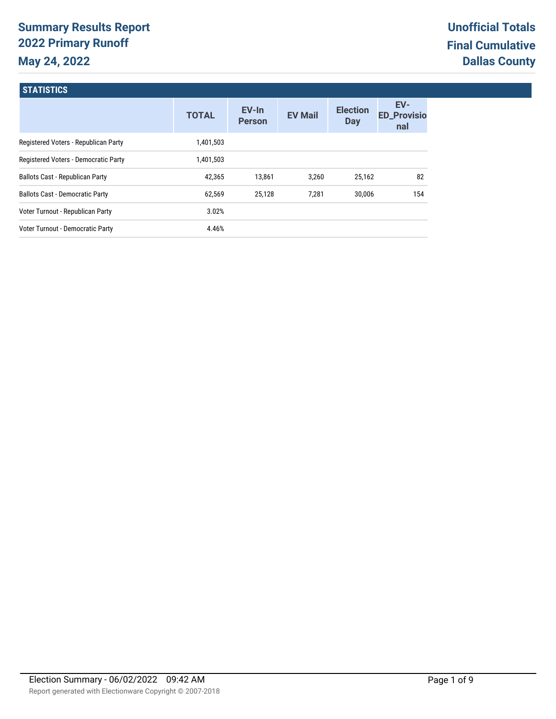# **Summary Results Report 2022 Primary Runoff May 24, 2022**

**STATICTICS** 

| 311111100                              |              |                        |                |                               |                                  |
|----------------------------------------|--------------|------------------------|----------------|-------------------------------|----------------------------------|
|                                        | <b>TOTAL</b> | EV-In<br><b>Person</b> | <b>EV Mail</b> | <b>Election</b><br><b>Day</b> | EV-<br><b>ED_Provisio</b><br>nal |
| Registered Voters - Republican Party   | 1,401,503    |                        |                |                               |                                  |
| Registered Voters - Democratic Party   | 1,401,503    |                        |                |                               |                                  |
| Ballots Cast - Republican Party        | 42,365       | 13,861                 | 3,260          | 25,162                        | 82                               |
| <b>Ballots Cast - Democratic Party</b> | 62,569       | 25,128                 | 7,281          | 30.006                        | 154                              |
| Voter Turnout - Republican Party       | 3.02%        |                        |                |                               |                                  |
| Voter Turnout - Democratic Party       | 4.46%        |                        |                |                               |                                  |
|                                        |              |                        |                |                               |                                  |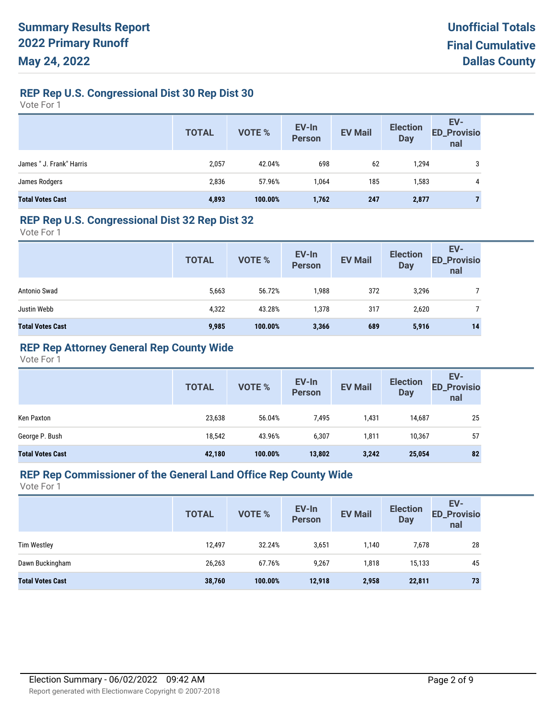### **REP Rep U.S. Congressional Dist 30 Rep Dist 30**

Vote For 1

|                          | <b>TOTAL</b> | VOTE %  | EV-In<br>Person | <b>EV Mail</b> | <b>Election</b><br><b>Day</b> | EV-<br>ED_Provisio<br>nal |
|--------------------------|--------------|---------|-----------------|----------------|-------------------------------|---------------------------|
| James " J. Frank" Harris | 2,057        | 42.04%  | 698             | 62             | 1,294                         | 3                         |
| James Rodgers            | 2,836        | 57.96%  | 1,064           | 185            | 1,583                         | 4                         |
| <b>Total Votes Cast</b>  | 4,893        | 100.00% | 1,762           | 247            | 2,877                         | ┓                         |

#### **REP Rep U.S. Congressional Dist 32 Rep Dist 32**

Vote For 1

|                         | <b>TOTAL</b> | <b>VOTE %</b> | EV-In<br>Person | <b>EV Mail</b> | <b>Election</b><br><b>Day</b> | EV-<br><b>ED_Provisio</b><br>nal |
|-------------------------|--------------|---------------|-----------------|----------------|-------------------------------|----------------------------------|
| Antonio Swad            | 5,663        | 56.72%        | 1,988           | 372            | 3,296                         |                                  |
| Justin Webb             | 4,322        | 43.28%        | 1,378           | 317            | 2,620                         |                                  |
| <b>Total Votes Cast</b> | 9,985        | 100.00%       | 3,366           | 689            | 5,916                         | 14                               |

### **REP Rep Attorney General Rep County Wide**

Vote For 1

|                         | <b>TOTAL</b> | <b>VOTE %</b> | EV-In<br><b>Person</b> | <b>EV Mail</b> | <b>Election</b><br><b>Day</b> | EV-<br><b>ED_Provisio</b><br>nal |
|-------------------------|--------------|---------------|------------------------|----------------|-------------------------------|----------------------------------|
| Ken Paxton              | 23,638       | 56.04%        | 7,495                  | 1,431          | 14,687                        | 25                               |
| George P. Bush          | 18,542       | 43.96%        | 6,307                  | 1,811          | 10,367                        | 57                               |
| <b>Total Votes Cast</b> | 42,180       | 100.00%       | 13,802                 | 3,242          | 25,054                        | 82                               |

#### **REP Rep Commissioner of the General Land Office Rep County Wide**

|                         | <b>TOTAL</b> | <b>VOTE %</b> | EV-In<br><b>Person</b> | <b>EV Mail</b> | <b>Election</b><br><b>Day</b> | EV-<br><b>ED_Provisio</b><br>nal |
|-------------------------|--------------|---------------|------------------------|----------------|-------------------------------|----------------------------------|
| <b>Tim Westley</b>      | 12,497       | 32.24%        | 3,651                  | 1,140          | 7,678                         | 28                               |
| Dawn Buckingham         | 26,263       | 67.76%        | 9,267                  | 1,818          | 15,133                        | 45                               |
| <b>Total Votes Cast</b> | 38,760       | 100.00%       | 12,918                 | 2,958          | 22,811                        | 73                               |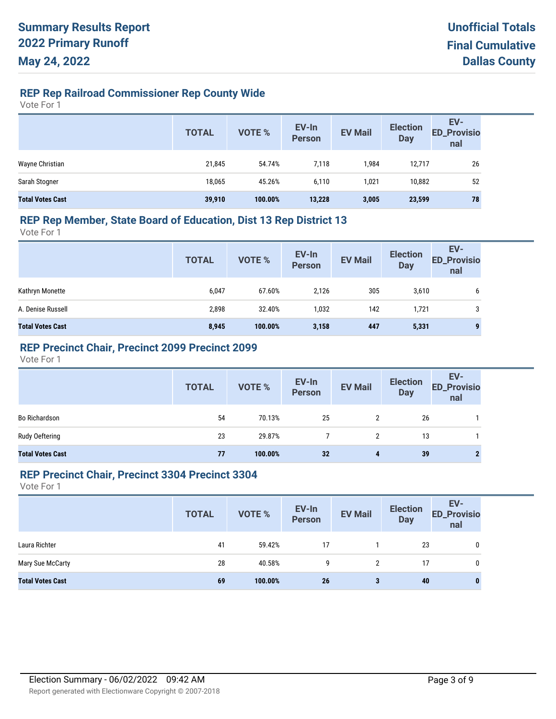# **REP Rep Railroad Commissioner Rep County Wide**

Vote For 1

|                         | <b>TOTAL</b> | VOTE %  | EV-In<br>Person | <b>EV Mail</b> | <b>Election</b><br><b>Day</b> | EV-<br>ED_Provisio<br>nal |
|-------------------------|--------------|---------|-----------------|----------------|-------------------------------|---------------------------|
| Wayne Christian         | 21,845       | 54.74%  | 7,118           | 1,984          | 12,717                        | 26                        |
| Sarah Stogner           | 18.065       | 45.26%  | 6,110           | 1,021          | 10,882                        | 52                        |
| <b>Total Votes Cast</b> | 39,910       | 100.00% | 13,228          | 3,005          | 23,599                        | 78                        |

#### **REP Rep Member, State Board of Education, Dist 13 Rep District 13**

Vote For 1

|                         | <b>TOTAL</b> | VOTE %  | EV-In<br>Person | <b>EV Mail</b> | <b>Election</b><br><b>Day</b> | EV-<br><b>ED_Provisio</b><br>nal |
|-------------------------|--------------|---------|-----------------|----------------|-------------------------------|----------------------------------|
| Kathryn Monette         | 6,047        | 67.60%  | 2,126           | 305            | 3,610                         | b                                |
| A. Denise Russell       | 2,898        | 32.40%  | 1,032           | 142            | 1,721                         | 3                                |
| <b>Total Votes Cast</b> | 8,945        | 100.00% | 3,158           | 447            | 5,331                         | 9                                |

### **REP Precinct Chair, Precinct 2099 Precinct 2099**

Vote For 1

|                         | <b>TOTAL</b> | VOTE %  | EV-In<br>Person | <b>EV Mail</b>       | <b>Election</b><br><b>Day</b> | EV-<br>ED_Provisio<br>nal |
|-------------------------|--------------|---------|-----------------|----------------------|-------------------------------|---------------------------|
| <b>Bo Richardson</b>    | 54           | 70.13%  | 25              |                      | 26                            |                           |
| Rudy Oeftering          | 23           | 29.87%  |                 | $\mathbf{2}^{\circ}$ | 13                            |                           |
| <b>Total Votes Cast</b> | 77           | 100.00% | 32              | 4                    | 39                            |                           |

#### **REP Precinct Chair, Precinct 3304 Precinct 3304**

|                         | <b>TOTAL</b> | <b>VOTE %</b> | EV-In<br>Person | <b>EV Mail</b> | <b>Election</b><br><b>Day</b> | EV-<br><b>ED_Provisio</b><br>nal |
|-------------------------|--------------|---------------|-----------------|----------------|-------------------------------|----------------------------------|
| Laura Richter           | 41           | 59.42%        | 17              |                | 23                            | 0                                |
| Mary Sue McCarty        | 28           | 40.58%        | 9               | 2              | 17                            | 0                                |
| <b>Total Votes Cast</b> | 69           | 100.00%       | 26              | 3              | 40                            | 0                                |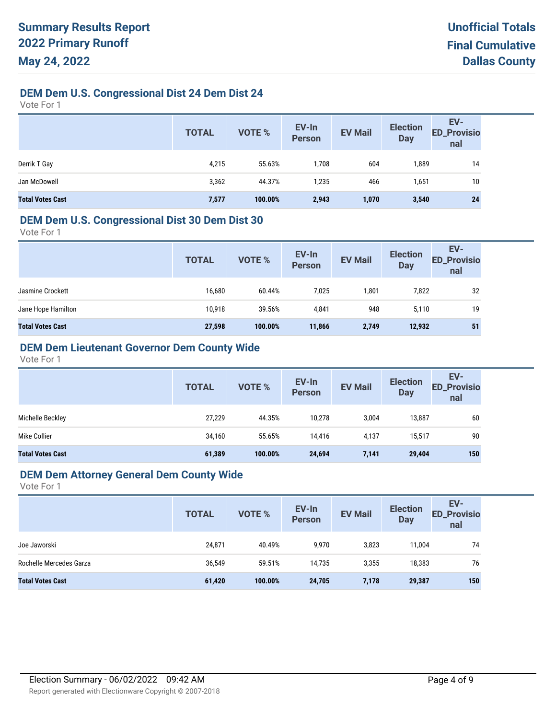# **DEM Dem U.S. Congressional Dist 24 Dem Dist 24**

Vote For 1

|                         | <b>TOTAL</b> | VOTE %  | EV-In<br>Person | <b>EV Mail</b> | <b>Election</b><br>Day | EV-<br>ED_Provisio<br>nal |
|-------------------------|--------------|---------|-----------------|----------------|------------------------|---------------------------|
| Derrik T Gay            | 4,215        | 55.63%  | 1,708           | 604            | 1,889                  | 14                        |
| Jan McDowell            | 3,362        | 44.37%  | 1,235           | 466            | 1,651                  | 10                        |
| <b>Total Votes Cast</b> | 7,577        | 100.00% | 2,943           | 1,070          | 3,540                  | 24                        |

#### **DEM Dem U.S. Congressional Dist 30 Dem Dist 30**

Vote For 1

| <b>Person</b><br><b>Day</b><br>nal                                        |    |
|---------------------------------------------------------------------------|----|
| 16,680<br>7,025<br>1,801<br>7,822<br>60.44%<br>Jasmine Crockett           | 32 |
| 39.56%<br>948<br>10,918<br>Jane Hope Hamilton<br>4,841<br>5,110           | 19 |
| 27,598<br>100.00%<br>2,749<br>12,932<br><b>Total Votes Cast</b><br>11,866 | 51 |

# **DEM Dem Lieutenant Governor Dem County Wide**

Vote For 1

|                         | <b>TOTAL</b> | <b>VOTE %</b> | EV-In<br><b>Person</b> | <b>EV Mail</b> | <b>Election</b><br><b>Day</b> | EV-<br><b>ED_Provisio</b><br>nal |
|-------------------------|--------------|---------------|------------------------|----------------|-------------------------------|----------------------------------|
| Michelle Beckley        | 27,229       | 44.35%        | 10,278                 | 3,004          | 13,887                        | 60                               |
| Mike Collier            | 34,160       | 55.65%        | 14,416                 | 4,137          | 15,517                        | 90                               |
| <b>Total Votes Cast</b> | 61,389       | 100.00%       | 24,694                 | 7,141          | 29,404                        | 150                              |

#### **DEM Dem Attorney General Dem County Wide**

|                         | <b>TOTAL</b> | VOTE %  | EV-In<br><b>Person</b> | <b>EV Mail</b> | <b>Election</b><br><b>Day</b> | EV-<br><b>ED_Provisio</b><br>nal |
|-------------------------|--------------|---------|------------------------|----------------|-------------------------------|----------------------------------|
| Joe Jaworski            | 24,871       | 40.49%  | 9,970                  | 3,823          | 11,004                        | 74                               |
| Rochelle Mercedes Garza | 36,549       | 59.51%  | 14.735                 | 3,355          | 18,383                        | 76                               |
| <b>Total Votes Cast</b> | 61,420       | 100.00% | 24,705                 | 7,178          | 29,387                        | 150                              |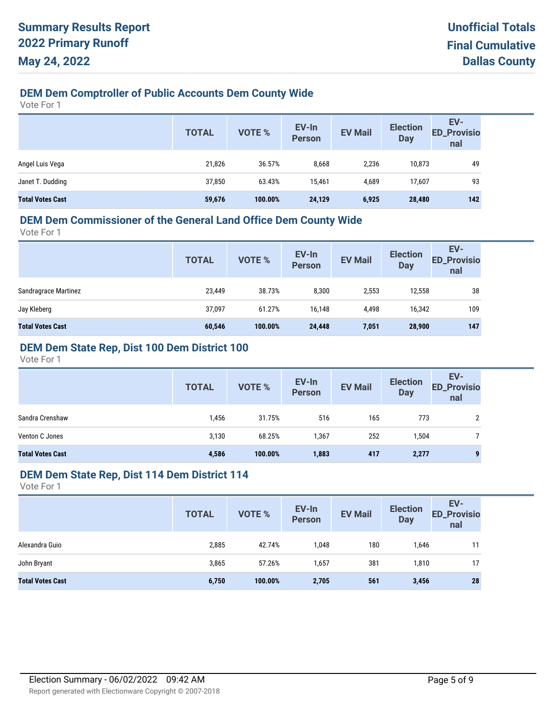# **DEM Dem Comptroller of Public Accounts Dem County Wide**

Vote For 1

|                         | <b>TOTAL</b> | <b>VOTE %</b> | EV-In<br><b>Person</b> | <b>EV Mail</b> | <b>Election</b><br><b>Day</b> | EV-<br><b>ED_Provisio</b><br>nal |
|-------------------------|--------------|---------------|------------------------|----------------|-------------------------------|----------------------------------|
| Angel Luis Vega         | 21,826       | 36.57%        | 8,668                  | 2,236          | 10,873                        | 49                               |
| Janet T. Dudding        | 37,850       | 63.43%        | 15.461                 | 4.689          | 17,607                        | 93                               |
| <b>Total Votes Cast</b> | 59,676       | 100.00%       | 24,129                 | 6,925          | 28,480                        | 142                              |

#### **DEM Dem Commissioner of the General Land Office Dem County Wide**

Vote For 1

| <b>TOTAL</b> | VOTE %  | EV-In<br><b>Person</b> | <b>EV Mail</b> | <b>Election</b><br><b>Day</b> | EV-<br><b>ED_Provisio</b><br>nal |
|--------------|---------|------------------------|----------------|-------------------------------|----------------------------------|
| 23,449       | 38.73%  | 8,300                  | 2,553          | 12,558                        | 38                               |
| 37,097       | 61.27%  | 16,148                 | 4,498          | 16,342                        | 109                              |
| 60,546       | 100.00% | 24,448                 | 7,051          | 28,900                        | 147                              |
|              |         |                        |                |                               |                                  |

### **DEM Dem State Rep, Dist 100 Dem District 100**

Vote For 1

|                         | <b>TOTAL</b> | VOTE %  | EV-In<br><b>Person</b> | <b>EV Mail</b> | <b>Election</b><br><b>Day</b> | EV-<br><b>ED_Provisio</b><br>nal |
|-------------------------|--------------|---------|------------------------|----------------|-------------------------------|----------------------------------|
| Sandra Crenshaw         | 1,456        | 31.75%  | 516                    | 165            | 773                           | っ                                |
| Venton C Jones          | 3,130        | 68.25%  | 1,367                  | 252            | 1,504                         |                                  |
| <b>Total Votes Cast</b> | 4,586        | 100.00% | 1,883                  | 417            | 2,277                         | 9                                |

#### **DEM Dem State Rep, Dist 114 Dem District 114**

|                         | <b>TOTAL</b> | VOTE %  | EV-In<br>Person | <b>EV Mail</b> | <b>Election</b><br><b>Day</b> | EV-<br><b>ED_Provisio</b><br>nal |
|-------------------------|--------------|---------|-----------------|----------------|-------------------------------|----------------------------------|
| Alexandra Guio          | 2,885        | 42.74%  | 1,048           | 180            | 1,646                         | 11                               |
| John Bryant             | 3,865        | 57.26%  | 1,657           | 381            | 1,810                         | 17                               |
| <b>Total Votes Cast</b> | 6,750        | 100.00% | 2,705           | 561            | 3,456                         | 28                               |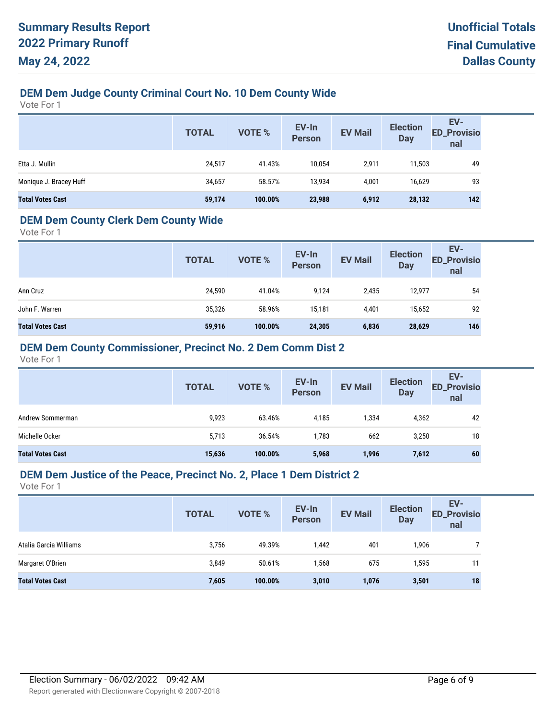# **DEM Dem Judge County Criminal Court No. 10 Dem County Wide**

Vote For 1

|                         | <b>TOTAL</b> | VOTE %  | EV-In<br>Person | <b>EV Mail</b> | <b>Election</b><br><b>Day</b> | EV-<br>ED_Provisio<br>nal |
|-------------------------|--------------|---------|-----------------|----------------|-------------------------------|---------------------------|
| Etta J. Mullin          | 24,517       | 41.43%  | 10.054          | 2.911          | 11,503                        | 49                        |
| Monique J. Bracey Huff  | 34,657       | 58.57%  | 13,934          | 4,001          | 16,629                        | 93                        |
| <b>Total Votes Cast</b> | 59,174       | 100.00% | 23,988          | 6,912          | 28,132                        | 142                       |

### **DEM Dem County Clerk Dem County Wide**

Vote For 1

|                         | <b>TOTAL</b> | VOTE %  | EV-In<br><b>Person</b> | <b>EV Mail</b> | <b>Election</b><br><b>Day</b> | EV-<br><b>ED_Provisio</b><br>nal |
|-------------------------|--------------|---------|------------------------|----------------|-------------------------------|----------------------------------|
| Ann Cruz                | 24,590       | 41.04%  | 9.124                  | 2,435          | 12,977                        | 54                               |
| John F. Warren          | 35,326       | 58.96%  | 15,181                 | 4,401          | 15,652                        | 92                               |
| <b>Total Votes Cast</b> | 59,916       | 100.00% | 24,305                 | 6,836          | 28,629                        | 146                              |

### **DEM Dem County Commissioner, Precinct No. 2 Dem Comm Dist 2**

Vote For 1

|                         | <b>TOTAL</b> | <b>VOTE %</b> | EV-In<br><b>Person</b> | <b>EV Mail</b> | <b>Election</b><br><b>Day</b> | EV-<br><b>ED_Provisio</b><br>nal |
|-------------------------|--------------|---------------|------------------------|----------------|-------------------------------|----------------------------------|
| Andrew Sommerman        | 9,923        | 63.46%        | 4,185                  | 334,           | 4,362                         | 42                               |
| Michelle Ocker          | 5,713        | 36.54%        | 1,783                  | 662            | 3,250                         | 18                               |
| <b>Total Votes Cast</b> | 15,636       | 100.00%       | 5,968                  | 1,996          | 7,612                         | 60                               |

#### **DEM Dem Justice of the Peace, Precinct No. 2, Place 1 Dem District 2**

|                         | <b>TOTAL</b> | <b>VOTE %</b> | EV-In<br><b>Person</b> | <b>EV Mail</b> | <b>Election</b><br><b>Day</b> | EV-<br><b>ED_Provisio</b><br>nal |
|-------------------------|--------------|---------------|------------------------|----------------|-------------------------------|----------------------------------|
| Atalia Garcia Williams  | 3,756        | 49.39%        | 1,442                  | 401            | 1,906                         |                                  |
| Margaret O'Brien        | 3,849        | 50.61%        | 1,568                  | 675            | 1,595                         | 11                               |
| <b>Total Votes Cast</b> | 7,605        | 100.00%       | 3,010                  | 1,076          | 3,501                         | 18                               |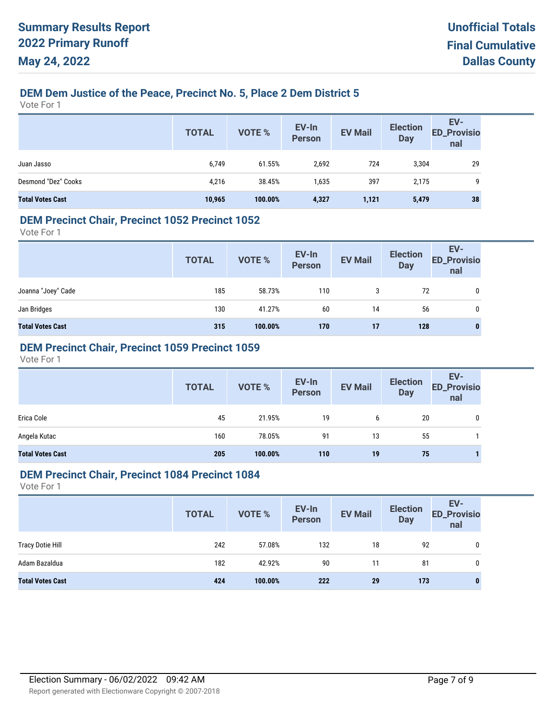# **DEM Dem Justice of the Peace, Precinct No. 5, Place 2 Dem District 5**

Vote For 1

|                         | <b>TOTAL</b> | <b>VOTE %</b> | EV-In<br>Person | <b>EV Mail</b> | <b>Election</b><br>Day | EV-<br><b>ED_Provisio</b><br>nal |
|-------------------------|--------------|---------------|-----------------|----------------|------------------------|----------------------------------|
| Juan Jasso              | 6,749        | 61.55%        | 2,692           | 724            | 3,304                  | 29                               |
| Desmond "Dez" Cooks     | 4,216        | 38.45%        | 1,635           | 397            | 2,175                  | 9                                |
| <b>Total Votes Cast</b> | 10,965       | 100.00%       | 4,327           | 1,121          | 5,479                  | 38                               |

#### **DEM Precinct Chair, Precinct 1052 Precinct 1052**

Vote For 1

|                         | <b>TOTAL</b> | VOTE %  | EV-In<br>Person | <b>EV Mail</b> | <b>Election</b><br><b>Day</b> | EV-<br>ED_Provisio<br>nal |
|-------------------------|--------------|---------|-----------------|----------------|-------------------------------|---------------------------|
| Joanna "Joey" Cade      | 185          | 58.73%  | 110             | 3              | 72                            |                           |
| Jan Bridges             | 130          | 41.27%  | 60              | 14             | 56                            | 0                         |
| <b>Total Votes Cast</b> | 315          | 100.00% | 170             | 17             | 128                           | 0                         |

### **DEM Precinct Chair, Precinct 1059 Precinct 1059**

Vote For 1

|                         | <b>TOTAL</b> | VOTE %  | EV-In<br>Person | <b>EV Mail</b> | <b>Election</b><br><b>Day</b> | EV-<br>ED_Provisio<br>nal |
|-------------------------|--------------|---------|-----------------|----------------|-------------------------------|---------------------------|
| Erica Cole              | 45           | 21.95%  | 19              | 6              | 20                            | 0                         |
| Angela Kutac            | 160          | 78.05%  | 91              | 13             | 55                            |                           |
| <b>Total Votes Cast</b> | 205          | 100.00% | 110             | 19             | 75                            |                           |

#### **DEM Precinct Chair, Precinct 1084 Precinct 1084**

|                         | <b>TOTAL</b> | <b>VOTE %</b> | EV-In<br>Person | <b>EV Mail</b> | <b>Election</b><br><b>Day</b> | EV-<br><b>ED_Provisio</b><br>nal |
|-------------------------|--------------|---------------|-----------------|----------------|-------------------------------|----------------------------------|
| <b>Tracy Dotie Hill</b> | 242          | 57.08%        | 132             | 18             | 92                            | 0                                |
| Adam Bazaldua           | 182          | 42.92%        | 90              | 11             | 81                            | 0                                |
| <b>Total Votes Cast</b> | 424          | 100.00%       | 222             | 29             | 173                           | 0                                |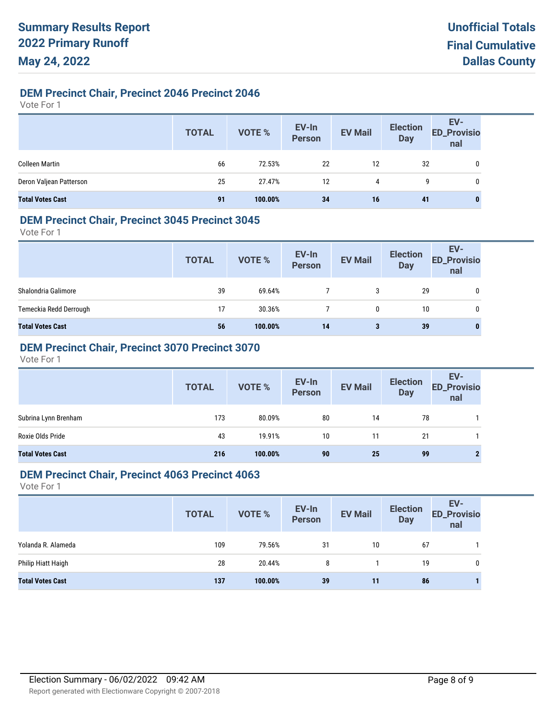# **DEM Precinct Chair, Precinct 2046 Precinct 2046**

Vote For 1

|                         | <b>TOTAL</b> | VOTE %  | EV-In<br>Person | <b>EV Mail</b> | <b>Election</b><br>Day | EV-<br>ED_Provisio<br>nal |
|-------------------------|--------------|---------|-----------------|----------------|------------------------|---------------------------|
| <b>Colleen Martin</b>   | 66           | 72.53%  | 22              | 12             | 32                     | 0                         |
| Deron Valjean Patterson | 25           | 27.47%  | 12              | 4              | 9                      | 0                         |
| <b>Total Votes Cast</b> | 91           | 100.00% | 34              | 16             | 41                     | 0                         |

### **DEM Precinct Chair, Precinct 3045 Precinct 3045**

Vote For 1

|                         | <b>TOTAL</b> | VOTE %  | EV-In<br>Person | <b>EV Mail</b> | <b>Election</b><br><b>Day</b> | EV-<br><b>ED_Provisio</b><br>nal |
|-------------------------|--------------|---------|-----------------|----------------|-------------------------------|----------------------------------|
| Shalondria Galimore     | 39           | 69.64%  |                 | 3              | 29                            | 0                                |
| Temeckia Redd Derrough  | 17           | 30.36%  |                 | 0              | 10                            | 0                                |
| <b>Total Votes Cast</b> | 56           | 100.00% | 14              | 3              | 39                            | 0                                |

# **DEM Precinct Chair, Precinct 3070 Precinct 3070**

Vote For 1

|                         | <b>TOTAL</b> | VOTE %  | EV-In<br>Person | <b>EV Mail</b> | <b>Election</b><br><b>Day</b> | EV-<br>ED_Provisio<br>nal |
|-------------------------|--------------|---------|-----------------|----------------|-------------------------------|---------------------------|
| Subrina Lynn Brenham    | 173          | 80.09%  | 80              | 14             | 78                            |                           |
| Roxie Olds Pride        | 43           | 19.91%  | 10              | 11             | 21                            |                           |
| <b>Total Votes Cast</b> | 216          | 100.00% | 90              | 25             | 99                            |                           |

### **DEM Precinct Chair, Precinct 4063 Precinct 4063**

|                         | <b>TOTAL</b> | VOTE %  | EV-In<br>Person | <b>EV Mail</b> | <b>Election</b><br><b>Day</b> | EV-<br><b>ED_Provisio</b><br>nal |
|-------------------------|--------------|---------|-----------------|----------------|-------------------------------|----------------------------------|
| Yolanda R. Alameda      | 109          | 79.56%  | 31              | 10             | 67                            |                                  |
| Philip Hiatt Haigh      | 28           | 20.44%  | 8               |                | 19                            | 0                                |
| <b>Total Votes Cast</b> | 137          | 100.00% | 39              | 11             | 86                            |                                  |